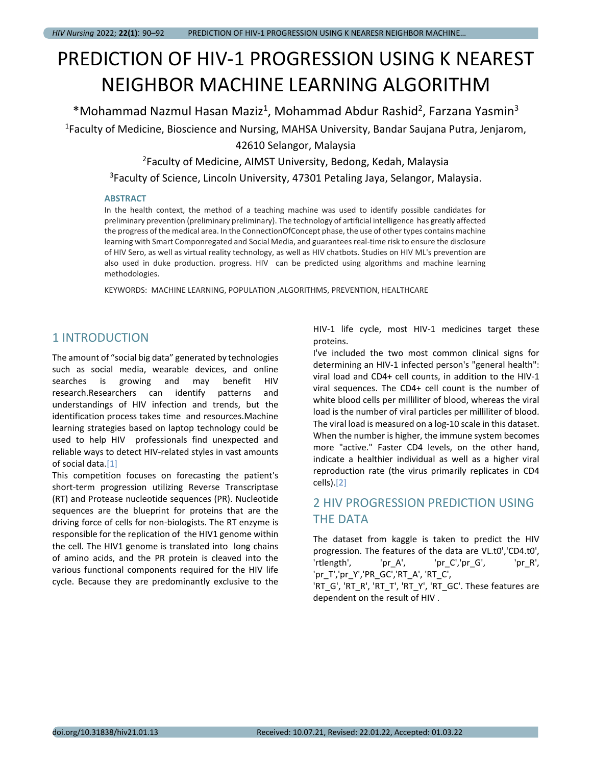# PREDICTION OF HIV-1 PROGRESSION USING K NEAREST NEIGHBOR MACHINE LEARNING ALGORITHM

\*Mohammad Nazmul Hasan Maziz<sup>1</sup>, Mohammad Abdur Rashid<sup>2</sup>, Farzana Yasmin<sup>3</sup> <sup>1</sup>Faculty of Medicine, Bioscience and Nursing, MAHSA University, Bandar Saujana Putra, Jenjarom,

42610 Selangor, Malaysia

<sup>2</sup>Faculty of Medicine, AIMST University, Bedong, Kedah, Malaysia

<sup>3</sup>Faculty of Science, Lincoln University, 47301 Petaling Jaya, Selangor, Malaysia.

#### **ABSTRACT**

In the health context, the method of a teaching machine was used to identify possible candidates for preliminary prevention (preliminary preliminary). The technology of artificial intelligence has greatly affected the progress of the medical area. In the ConnectionOfConcept phase, the use of other types contains machine learning with Smart Componregated and Social Media, and guarantees real-time risk to ensure the disclosure of HIV Sero, as well as virtual reality technology, as well as HIV chatbots. Studies on HIV ML's prevention are also used in duke production. progress. HIV can be predicted using algorithms and machine learning methodologies.

KEYWORDS: MACHINE LEARNING, POPULATION ,ALGORITHMS, PREVENTION, HEALTHCARE

### 1 INTRODUCTION

The amount of "social big data" generated by technologies such as social media, wearable devices, and online searches is growing and may benefit HIV research.Researchers can identify patterns and understandings of HIV infection and trends, but the identification process takes time and resources.Machine learning strategies based on laptop technology could be used to help HIV professionals find unexpected and reliable ways to detect HIV-related styles in vast amounts of social data.[1]

This competition focuses on forecasting the patient's short-term progression utilizing Reverse Transcriptase (RT) and Protease nucleotide sequences (PR). Nucleotide sequences are the blueprint for proteins that are the driving force of cells for non-biologists. The RT enzyme is responsible for the replication of the HIV1 genome within the cell. The HIV1 genome is translated into long chains of amino acids, and the PR protein is cleaved into the various functional components required for the HIV life cycle. Because they are predominantly exclusive to the HIV-1 life cycle, most HIV-1 medicines target these proteins.

I've included the two most common clinical signs for determining an HIV-1 infected person's "general health": viral load and CD4+ cell counts, in addition to the HIV-1 viral sequences. The CD4+ cell count is the number of white blood cells per milliliter of blood, whereas the viral load is the number of viral particles per milliliter of blood. The viral load is measured on a log-10 scale in this dataset. When the number is higher, the immune system becomes more "active." Faster CD4 levels, on the other hand, indicate a healthier individual as well as a higher viral reproduction rate (the virus primarily replicates in CD4 cells).[2]

## 2 HIV PROGRESSION PREDICTION USING THE DATA

The dataset from kaggle is taken to predict the HIV progression. The features of the data are VL.t0','CD4.t0', 'rtlength', 'pr\_A', 'pr\_C','pr\_G', 'pr\_R', 'pr\_T','pr\_Y','PR\_GC','RT\_A', 'RT\_C', 'RT\_G', 'RT\_R', 'RT\_T', 'RT\_Y', 'RT\_GC'. These features are

dependent on the result of HIV .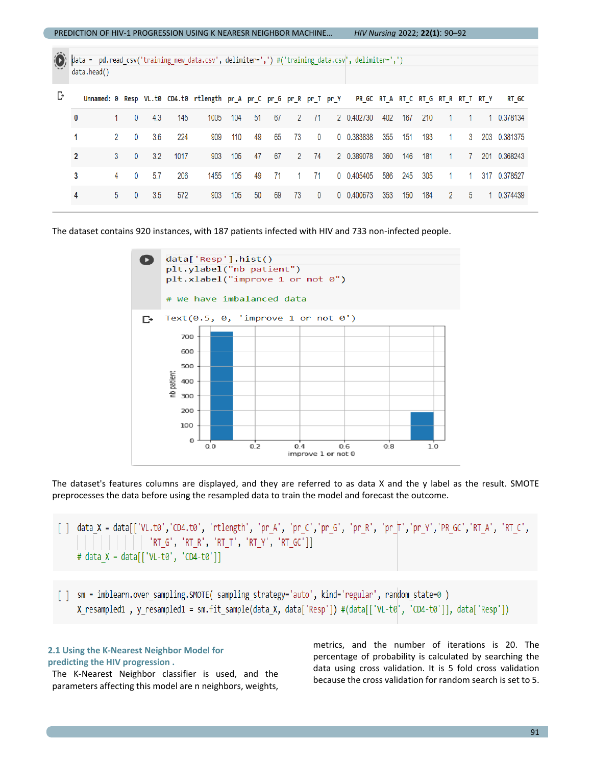| <b>PREDICTION OF HIV-1 PROGRESSION USING K NEARESR NEIGHBOR MACHINE</b> |                                                                                                                 |                |              |     |      |                                                                                                         |     |    | HIV Nursing 2022; 22(1): 90-92 |                |              |  |            |     |     |     |                |              |  |              |
|-------------------------------------------------------------------------|-----------------------------------------------------------------------------------------------------------------|----------------|--------------|-----|------|---------------------------------------------------------------------------------------------------------|-----|----|--------------------------------|----------------|--------------|--|------------|-----|-----|-----|----------------|--------------|--|--------------|
|                                                                         | data = pd.read_csv('training_new_data.csv',_delimiter=',') #('training_data.csv',_delimiter=',')<br>data.head() |                |              |     |      |                                                                                                         |     |    |                                |                |              |  |            |     |     |     |                |              |  |              |
| Ŀ                                                                       |                                                                                                                 |                |              |     |      | Unnamed: 0 Resp VL.t0 CD4.t0 rtlength pr_A pr_C pr_G pr_R pr_T pr_Y PR_GC RT_A RT_C RT_G RT_R RT_T RT_Y |     |    |                                |                |              |  |            |     |     |     |                |              |  | RT GC        |
|                                                                         | 0                                                                                                               |                | $\mathbf{0}$ | 4.3 | 145  | 1005                                                                                                    | 104 | 51 | 67                             | $\overline{2}$ | 71           |  | 2 0.402730 | 402 | 167 | 210 |                | $\mathbf{1}$ |  | 1 0.378134   |
|                                                                         | 1                                                                                                               | $\overline{2}$ | $\mathbf{0}$ | 3.6 | 224  | 909                                                                                                     | 110 | 49 | 65                             | 73             | $\mathbf{0}$ |  | 0 0.383838 | 355 | 151 | 193 | $\sim$         | 3            |  | 203 0.381375 |
|                                                                         | $\overline{2}$                                                                                                  | 3              | $\mathbf{0}$ | 3.2 | 1017 | 903                                                                                                     | 105 | 47 | 67                             | $\overline{2}$ | 74           |  | 2 0.389078 | 360 | 146 | 181 | 1              | $7^{\circ}$  |  | 201 0.368243 |
|                                                                         | 3                                                                                                               | 4              | $\Omega$     | 5.7 | 206  | 1455                                                                                                    | 105 | 49 | 71                             | 1              | 71           |  | 0 0.405405 | 586 | 245 | 305 | $\overline{1}$ | $\mathbf{1}$ |  | 317 0.378527 |
|                                                                         | 4                                                                                                               | $5^{\circ}$    | $\mathbf{0}$ | 3.5 | 572  | 903                                                                                                     | 105 | 50 | 69                             | 73             | $\mathbf{0}$ |  | 0 0.400673 | 353 | 150 | 184 | $\overline{2}$ | 5            |  | 1 0.374439   |
|                                                                         |                                                                                                                 |                |              |     |      |                                                                                                         |     |    |                                |                |              |  |            |     |     |     |                |              |  |              |

The dataset contains 920 instances, with 187 patients infected with HIV and 733 non-infected people.



The dataset's features columns are displayed, and they are referred to as data X and the y label as the result. SMOTE preprocesses the data before using the resampled data to train the model and forecast the outcome.

data\_X = data[['VL.t0','CD4.t0', 'rtlength', 'pr\_A', 'pr\_C','pr\_G', 'pr\_R', 'pr\_T','pr\_Y','PR\_GC','RT\_A', 'RT\_C',  $\Box$  $[\begin{array}{ccc} \texttt{'RT\_G'}, \texttt{'RT\_R'}, \texttt{'RT\_T'}, \texttt{'RT\_Y'}, \texttt{'RT\_GC'} ] ] \end{array}$ # data X = data[['VL-t0', 'CD4-t0']]

[] sm = imblearn.over\_sampling.SMOTE( sampling\_strategy='auto', kind='regular', random\_state=0 ) X resampled1, y resampled1 = sm.fit\_sample(data\_X, data['Resp']) #(data[['VL-t0', 'CD4-t0']], data['Resp'])

#### **2.1 Using the K-Nearest Neighbor Model for predicting the HIV progression .**

The K-Nearest Neighbor classifier is used, and the parameters affecting this model are n neighbors, weights, metrics, and the number of iterations is 20. The percentage of probability is calculated by searching the data using cross validation. It is 5 fold cross validation because the cross validation for random search is set to 5.